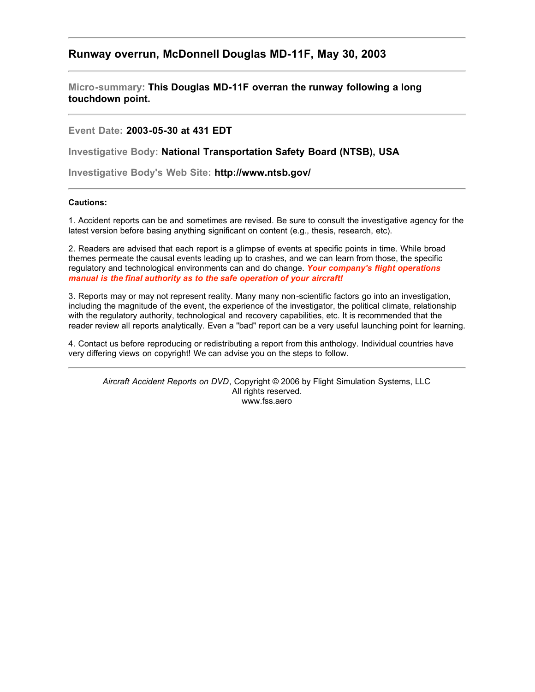# **Runway overrun, McDonnell Douglas MD-11F, May 30, 2003**

**Micro-summary: This Douglas MD-11F overran the runway following a long touchdown point.**

**Event Date: 2003-05-30 at 431 EDT**

**Investigative Body: National Transportation Safety Board (NTSB), USA**

**Investigative Body's Web Site: http://www.ntsb.gov/**

## **Cautions:**

1. Accident reports can be and sometimes are revised. Be sure to consult the investigative agency for the latest version before basing anything significant on content (e.g., thesis, research, etc).

2. Readers are advised that each report is a glimpse of events at specific points in time. While broad themes permeate the causal events leading up to crashes, and we can learn from those, the specific regulatory and technological environments can and do change. *Your company's flight operations manual is the final authority as to the safe operation of your aircraft!*

3. Reports may or may not represent reality. Many many non-scientific factors go into an investigation, including the magnitude of the event, the experience of the investigator, the political climate, relationship with the regulatory authority, technological and recovery capabilities, etc. It is recommended that the reader review all reports analytically. Even a "bad" report can be a very useful launching point for learning.

4. Contact us before reproducing or redistributing a report from this anthology. Individual countries have very differing views on copyright! We can advise you on the steps to follow.

*Aircraft Accident Reports on DVD*, Copyright © 2006 by Flight Simulation Systems, LLC All rights reserved. www.fss.aero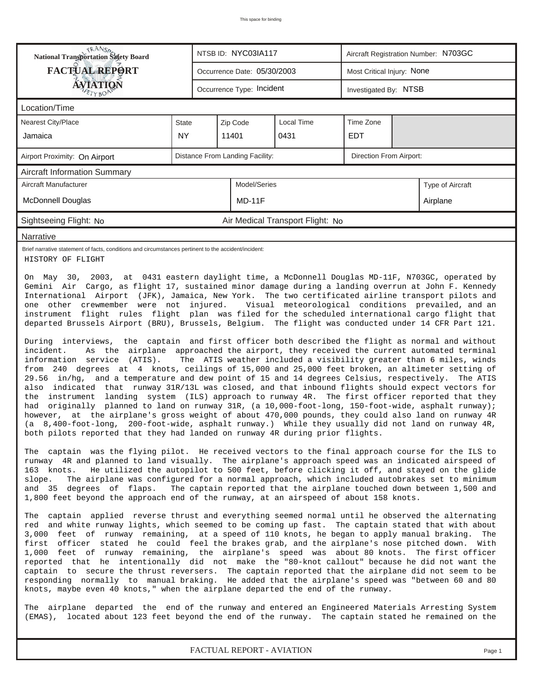| <b>NANSA</b><br>National Transportation Safety Board                                                                                                                                                                                                                                    | NTSB ID: NYC03IA117<br>Aircraft Registration Number: N703GC                                                                                                                                                                                                                                                                                                                                                                                                                                                                                                                                                                                                                                                                                                                                                                                                                                                                                                                                                                                                                                                                                                                                                                                                                                                                                                                                                                                                                                                                                                                                                                                                                                                                                                                                                                                                                                                                                                                                                                                                                                                                                                                                                                                                                                                                                                                                                                                                                                                                                                                                                                                                                                                                                                                                                                                                                                                                                                                                                                                                                                                                                                                                         |                                                            |              |                                  |            |  |                  |  |
|-----------------------------------------------------------------------------------------------------------------------------------------------------------------------------------------------------------------------------------------------------------------------------------------|-----------------------------------------------------------------------------------------------------------------------------------------------------------------------------------------------------------------------------------------------------------------------------------------------------------------------------------------------------------------------------------------------------------------------------------------------------------------------------------------------------------------------------------------------------------------------------------------------------------------------------------------------------------------------------------------------------------------------------------------------------------------------------------------------------------------------------------------------------------------------------------------------------------------------------------------------------------------------------------------------------------------------------------------------------------------------------------------------------------------------------------------------------------------------------------------------------------------------------------------------------------------------------------------------------------------------------------------------------------------------------------------------------------------------------------------------------------------------------------------------------------------------------------------------------------------------------------------------------------------------------------------------------------------------------------------------------------------------------------------------------------------------------------------------------------------------------------------------------------------------------------------------------------------------------------------------------------------------------------------------------------------------------------------------------------------------------------------------------------------------------------------------------------------------------------------------------------------------------------------------------------------------------------------------------------------------------------------------------------------------------------------------------------------------------------------------------------------------------------------------------------------------------------------------------------------------------------------------------------------------------------------------------------------------------------------------------------------------------------------------------------------------------------------------------------------------------------------------------------------------------------------------------------------------------------------------------------------------------------------------------------------------------------------------------------------------------------------------------------------------------------------------------------------------------------------------------|------------------------------------------------------------|--------------|----------------------------------|------------|--|------------------|--|
| <b>FACTUAL REPORT</b>                                                                                                                                                                                                                                                                   |                                                                                                                                                                                                                                                                                                                                                                                                                                                                                                                                                                                                                                                                                                                                                                                                                                                                                                                                                                                                                                                                                                                                                                                                                                                                                                                                                                                                                                                                                                                                                                                                                                                                                                                                                                                                                                                                                                                                                                                                                                                                                                                                                                                                                                                                                                                                                                                                                                                                                                                                                                                                                                                                                                                                                                                                                                                                                                                                                                                                                                                                                                                                                                                                     | Most Critical Injury: None<br>Occurrence Date: 05/30/2003  |              |                                  |            |  |                  |  |
| <b>ÁVJATIQÑ</b>                                                                                                                                                                                                                                                                         |                                                                                                                                                                                                                                                                                                                                                                                                                                                                                                                                                                                                                                                                                                                                                                                                                                                                                                                                                                                                                                                                                                                                                                                                                                                                                                                                                                                                                                                                                                                                                                                                                                                                                                                                                                                                                                                                                                                                                                                                                                                                                                                                                                                                                                                                                                                                                                                                                                                                                                                                                                                                                                                                                                                                                                                                                                                                                                                                                                                                                                                                                                                                                                                                     | Occurrence Type: Incident<br>Investigated By: NTSB         |              |                                  |            |  |                  |  |
| Location/Time                                                                                                                                                                                                                                                                           |                                                                                                                                                                                                                                                                                                                                                                                                                                                                                                                                                                                                                                                                                                                                                                                                                                                                                                                                                                                                                                                                                                                                                                                                                                                                                                                                                                                                                                                                                                                                                                                                                                                                                                                                                                                                                                                                                                                                                                                                                                                                                                                                                                                                                                                                                                                                                                                                                                                                                                                                                                                                                                                                                                                                                                                                                                                                                                                                                                                                                                                                                                                                                                                                     |                                                            |              |                                  |            |  |                  |  |
| <b>Nearest City/Place</b>                                                                                                                                                                                                                                                               | State                                                                                                                                                                                                                                                                                                                                                                                                                                                                                                                                                                                                                                                                                                                                                                                                                                                                                                                                                                                                                                                                                                                                                                                                                                                                                                                                                                                                                                                                                                                                                                                                                                                                                                                                                                                                                                                                                                                                                                                                                                                                                                                                                                                                                                                                                                                                                                                                                                                                                                                                                                                                                                                                                                                                                                                                                                                                                                                                                                                                                                                                                                                                                                                               |                                                            | Zip Code     | <b>Local Time</b>                | Time Zone  |  |                  |  |
| Jamaica                                                                                                                                                                                                                                                                                 | <b>NY</b>                                                                                                                                                                                                                                                                                                                                                                                                                                                                                                                                                                                                                                                                                                                                                                                                                                                                                                                                                                                                                                                                                                                                                                                                                                                                                                                                                                                                                                                                                                                                                                                                                                                                                                                                                                                                                                                                                                                                                                                                                                                                                                                                                                                                                                                                                                                                                                                                                                                                                                                                                                                                                                                                                                                                                                                                                                                                                                                                                                                                                                                                                                                                                                                           |                                                            | 11401        | 0431                             | <b>EDT</b> |  |                  |  |
| Airport Proximity: On Airport                                                                                                                                                                                                                                                           |                                                                                                                                                                                                                                                                                                                                                                                                                                                                                                                                                                                                                                                                                                                                                                                                                                                                                                                                                                                                                                                                                                                                                                                                                                                                                                                                                                                                                                                                                                                                                                                                                                                                                                                                                                                                                                                                                                                                                                                                                                                                                                                                                                                                                                                                                                                                                                                                                                                                                                                                                                                                                                                                                                                                                                                                                                                                                                                                                                                                                                                                                                                                                                                                     | Distance From Landing Facility:<br>Direction From Airport: |              |                                  |            |  |                  |  |
| <b>Aircraft Information Summary</b>                                                                                                                                                                                                                                                     |                                                                                                                                                                                                                                                                                                                                                                                                                                                                                                                                                                                                                                                                                                                                                                                                                                                                                                                                                                                                                                                                                                                                                                                                                                                                                                                                                                                                                                                                                                                                                                                                                                                                                                                                                                                                                                                                                                                                                                                                                                                                                                                                                                                                                                                                                                                                                                                                                                                                                                                                                                                                                                                                                                                                                                                                                                                                                                                                                                                                                                                                                                                                                                                                     |                                                            |              |                                  |            |  |                  |  |
| Aircraft Manufacturer                                                                                                                                                                                                                                                                   |                                                                                                                                                                                                                                                                                                                                                                                                                                                                                                                                                                                                                                                                                                                                                                                                                                                                                                                                                                                                                                                                                                                                                                                                                                                                                                                                                                                                                                                                                                                                                                                                                                                                                                                                                                                                                                                                                                                                                                                                                                                                                                                                                                                                                                                                                                                                                                                                                                                                                                                                                                                                                                                                                                                                                                                                                                                                                                                                                                                                                                                                                                                                                                                                     |                                                            | Model/Series |                                  |            |  | Type of Aircraft |  |
| <b>McDonnell Douglas</b>                                                                                                                                                                                                                                                                |                                                                                                                                                                                                                                                                                                                                                                                                                                                                                                                                                                                                                                                                                                                                                                                                                                                                                                                                                                                                                                                                                                                                                                                                                                                                                                                                                                                                                                                                                                                                                                                                                                                                                                                                                                                                                                                                                                                                                                                                                                                                                                                                                                                                                                                                                                                                                                                                                                                                                                                                                                                                                                                                                                                                                                                                                                                                                                                                                                                                                                                                                                                                                                                                     |                                                            | $MD-11F$     |                                  |            |  | Airplane         |  |
| Sightseeing Flight: No                                                                                                                                                                                                                                                                  |                                                                                                                                                                                                                                                                                                                                                                                                                                                                                                                                                                                                                                                                                                                                                                                                                                                                                                                                                                                                                                                                                                                                                                                                                                                                                                                                                                                                                                                                                                                                                                                                                                                                                                                                                                                                                                                                                                                                                                                                                                                                                                                                                                                                                                                                                                                                                                                                                                                                                                                                                                                                                                                                                                                                                                                                                                                                                                                                                                                                                                                                                                                                                                                                     |                                                            |              | Air Medical Transport Flight: No |            |  |                  |  |
| Narrative                                                                                                                                                                                                                                                                               |                                                                                                                                                                                                                                                                                                                                                                                                                                                                                                                                                                                                                                                                                                                                                                                                                                                                                                                                                                                                                                                                                                                                                                                                                                                                                                                                                                                                                                                                                                                                                                                                                                                                                                                                                                                                                                                                                                                                                                                                                                                                                                                                                                                                                                                                                                                                                                                                                                                                                                                                                                                                                                                                                                                                                                                                                                                                                                                                                                                                                                                                                                                                                                                                     |                                                            |              |                                  |            |  |                  |  |
| Brief narrative statement of facts, conditions and circumstances pertinent to the accident/incident:<br>HISTORY OF FLIGHT                                                                                                                                                               |                                                                                                                                                                                                                                                                                                                                                                                                                                                                                                                                                                                                                                                                                                                                                                                                                                                                                                                                                                                                                                                                                                                                                                                                                                                                                                                                                                                                                                                                                                                                                                                                                                                                                                                                                                                                                                                                                                                                                                                                                                                                                                                                                                                                                                                                                                                                                                                                                                                                                                                                                                                                                                                                                                                                                                                                                                                                                                                                                                                                                                                                                                                                                                                                     |                                                            |              |                                  |            |  |                  |  |
| On May 30, 2003, at 0431 eastern daylight time, a McDonnell Douglas MD-11F, N703GC, operated by<br>incident.<br>information service (ATIS).<br>the<br>had<br>163 knots.<br>slope.<br>(EMAS), located about 123 feet beyond the end of the runway. The captain stated he remained on the | Gemini Air Cargo, as flight 17, sustained minor damage during a landing overrun at John F. Kennedy<br>International Airport (JFK), Jamaica, New York. The two certificated airline transport pilots and<br>one other crewmember were not injured.<br>Visual meteorological conditions prevailed, and an<br>instrument flight rules flight plan was filed for the scheduled international cargo flight that<br>departed Brussels Airport (BRU), Brussels, Belgium. The flight was conducted under 14 CFR Part 121.<br>During interviews, the captain and first officer both described the flight as normal and without<br>As the airplane approached the airport, they received the current automated terminal<br>The ATIS weather included a visibility greater than 6 miles, winds<br>from 240 degrees at 4 knots, ceilings of 15,000 and 25,000 feet broken, an altimeter setting of<br>29.56 in/hg, and a temperature and dew point of 15 and 14 degrees Celsius, respectively. The ATIS<br>also indicated that runway 31R/13L was closed, and that inbound flights should expect vectors for<br>instrument landing system (ILS) approach to runway 4R. The first officer reported that they<br>originally planned to land on runway 31R, (a 10,000-foot-long, 150-foot-wide, asphalt runway);<br>however, at the airplane's gross weight of about 470,000 pounds, they could also land on runway 4R<br>(a 8,400-foot-long, 200-foot-wide, asphalt runway.) While they usually did not land on runway 4R,<br>both pilots reported that they had landed on runway 4R during prior flights.<br>The captain was the flying pilot. He received vectors to the final approach course for the ILS to<br>runway 4R and planned to land visually. The airplane's approach speed was an indicated airspeed of<br>He utilized the autopilot to 500 feet, before clicking it off, and stayed on the glide<br>The airplane was configured for a normal approach, which included autobrakes set to minimum<br>and 35 degrees of flaps. The captain reported that the airplane touched down between 1,500 and<br>1,800 feet beyond the approach end of the runway, at an airspeed of about 158 knots.<br>The captain applied reverse thrust and everything seemed normal until he observed the alternating<br>red and white runway lights, which seemed to be coming up fast. The captain stated that with about<br>3,000 feet of runway remaining, at a speed of 110 knots, he began to apply manual braking.<br>first officer stated he could feel the brakes grab, and the airplane's nose pitched down. With<br>1,000 feet of runway remaining, the airplane's speed was about 80 knots. The first officer<br>reported that he intentionally did not make the "80-knot callout" because he did not want the<br>captain to secure the thrust reversers. The captain reported that the airplane did not seem to be<br>responding normally to manual braking. He added that the airplane's speed was "between 60 and 80<br>knots, maybe even 40 knots," when the airplane departed the end of the runway.<br>The airplane departed the end of the runway and entered an Engineered Materials Arresting System |                                                            |              |                                  |            |  | The              |  |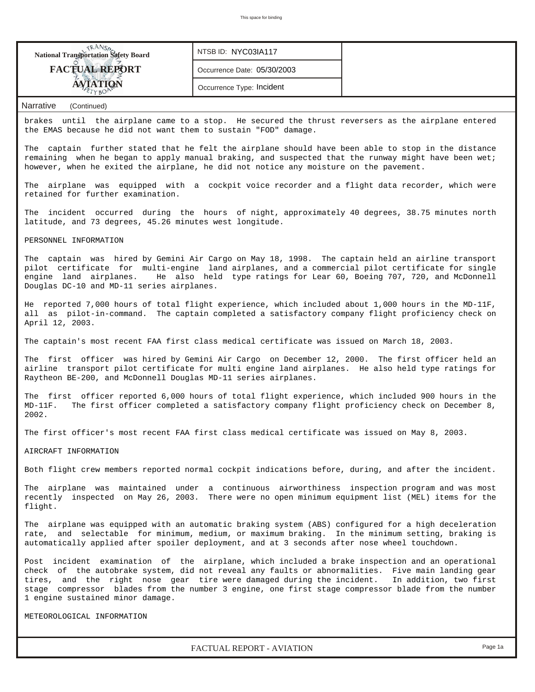

*FACTUAL REPORT - AVIATION Page 1a*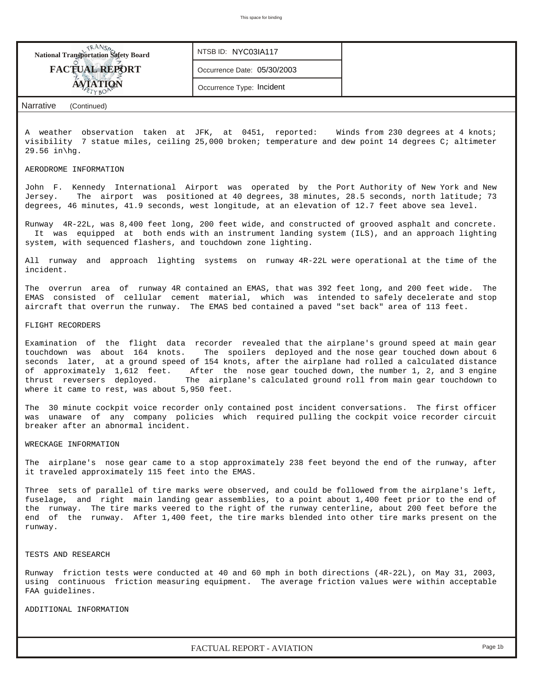

Jersey. The airport was positioned at 40 degrees, 38 minutes, 28.5 seconds, north latitude; 73 degrees, 46 minutes, 41.9 seconds, west longitude, at an elevation of 12.7 feet above sea level.

Runway 4R-22L, was 8,400 feet long, 200 feet wide, and constructed of grooved asphalt and concrete. It was equipped at both ends with an instrument landing system (ILS), and an approach lighting system, with sequenced flashers, and touchdown zone lighting.

All runway and approach lighting systems on runway 4R-22L were operational at the time of the incident.

The overrun area of runway 4R contained an EMAS, that was 392 feet long, and 200 feet wide. The EMAS consisted of cellular cement material, which was intended to safely decelerate and stop aircraft that overrun the runway. The EMAS bed contained a paved "set back" area of 113 feet.

#### FLIGHT RECORDERS

Examination of the flight data recorder revealed that the airplane's ground speed at main gear touchdown was about 164 knots. The spoilers deployed and the nose gear touched down about 6 seconds later, at a ground speed of 154 knots, after the airplane had rolled a calculated distance of approximately 1,612 feet. After the nose gear touched down, the number 1, 2, and 3 engine thrust reversers deployed. The airplane's calculated ground roll from main gear touchdown to where it came to rest, was about 5,950 feet.

The 30 minute cockpit voice recorder only contained post incident conversations. The first officer was unaware of any company policies which required pulling the cockpit voice recorder circuit breaker after an abnormal incident.

#### WRECKAGE INFORMATION

The airplane's nose gear came to a stop approximately 238 feet beyond the end of the runway, after it traveled approximately 115 feet into the EMAS.

Three sets of parallel of tire marks were observed, and could be followed from the airplane's left, fuselage, and right main landing gear assemblies, to a point about 1,400 feet prior to the end of the runway. The tire marks veered to the right of the runway centerline, about 200 feet before the end of the runway. After 1,400 feet, the tire marks blended into other tire marks present on the runway.

### TESTS AND RESEARCH

Runway friction tests were conducted at 40 and 60 mph in both directions (4R-22L), on May 31, 2003, using continuous friction measuring equipment. The average friction values were within acceptable FAA guidelines.

ADDITIONAL INFORMATION

*FACTUAL REPORT - AVIATION Page 1b*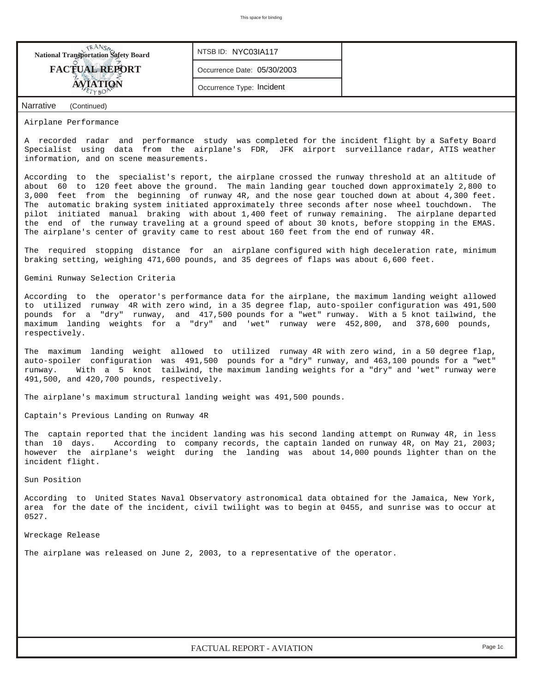| <b>National Transportation Safety Board</b> | NTSB ID: NYC03IA117         |  |
|---------------------------------------------|-----------------------------|--|
| <b>FACTUAL REPORT</b>                       | Occurrence Date: 05/30/2003 |  |
| <b>AVIATION</b>                             | Occurrence Type: Incident   |  |
| Narrative<br>(Continued)                    |                             |  |

Airplane Performance

A recorded radar and performance study was completed for the incident flight by a Safety Board Specialist using data from the airplane's FDR, JFK airport surveillance radar, ATIS weather information, and on scene measurements.

According to the specialist's report, the airplane crossed the runway threshold at an altitude of about 60 to 120 feet above the ground. The main landing gear touched down approximately 2,800 to 3,000 feet from the beginning of runway 4R, and the nose gear touched down at about 4,300 feet. The automatic braking system initiated approximately three seconds after nose wheel touchdown. The pilot initiated manual braking with about 1,400 feet of runway remaining. The airplane departed the end of the runway traveling at a ground speed of about 30 knots, before stopping in the EMAS. The airplane's center of gravity came to rest about 160 feet from the end of runway 4R.

The required stopping distance for an airplane configured with high deceleration rate, minimum braking setting, weighing 471,600 pounds, and 35 degrees of flaps was about 6,600 feet.

Gemini Runway Selection Criteria

According to the operator's performance data for the airplane, the maximum landing weight allowed to utilized runway 4R with zero wind, in a 35 degree flap, auto-spoiler configuration was 491,500 pounds for a "dry" runway, and 417,500 pounds for a "wet" runway. With a 5 knot tailwind, the maximum landing weights for a "dry" and 'wet" runway were 452,800, and 378,600 pounds, respectively.

The maximum landing weight allowed to utilized runway 4R with zero wind, in a 50 degree flap, auto-spoiler configuration was 491,500 pounds for a "dry" runway, and 463,100 pounds for a "wet" runway. With a 5 knot tailwind, the maximum landing weights for a "dry" and 'wet" runway were 491,500, and 420,700 pounds, respectively.

The airplane's maximum structural landing weight was 491,500 pounds.

Captain's Previous Landing on Runway 4R

The captain reported that the incident landing was his second landing attempt on Runway 4R, in less than 10 days. According to company records, the captain landed on runway 4R, on May 21, 2003; however the airplane's weight during the landing was about 14,000 pounds lighter than on the incident flight.

Sun Position

According to United States Naval Observatory astronomical data obtained for the Jamaica, New York, area for the date of the incident, civil twilight was to begin at 0455, and sunrise was to occur at 0527.

Wreckage Release

The airplane was released on June 2, 2003, to a representative of the operator.

*FACTUAL REPORT - AVIATION Page 1c*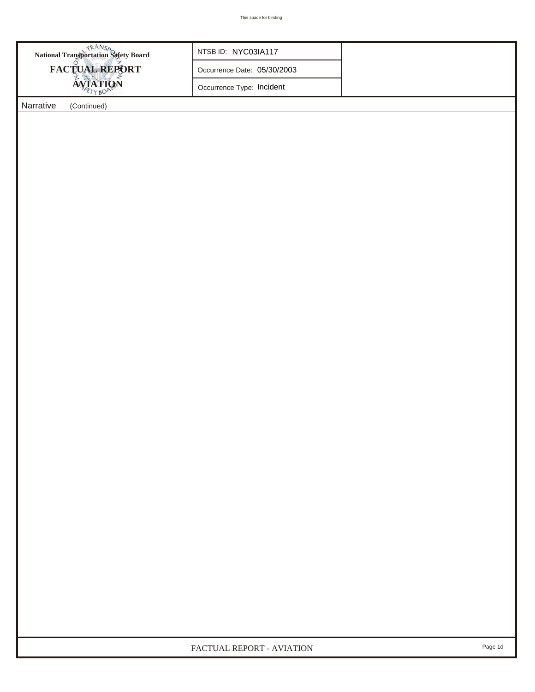| National Transportation Safety Board | NTSB ID: NYC03IA117         |  |
|--------------------------------------|-----------------------------|--|
| FACTUAL REPORT                       | Occurrence Date: 05/30/2003 |  |
| <b>AVIATION</b>                      | Occurrence Type: Incident   |  |
| <b>Narrative</b><br>(Continued)      |                             |  |
|                                      |                             |  |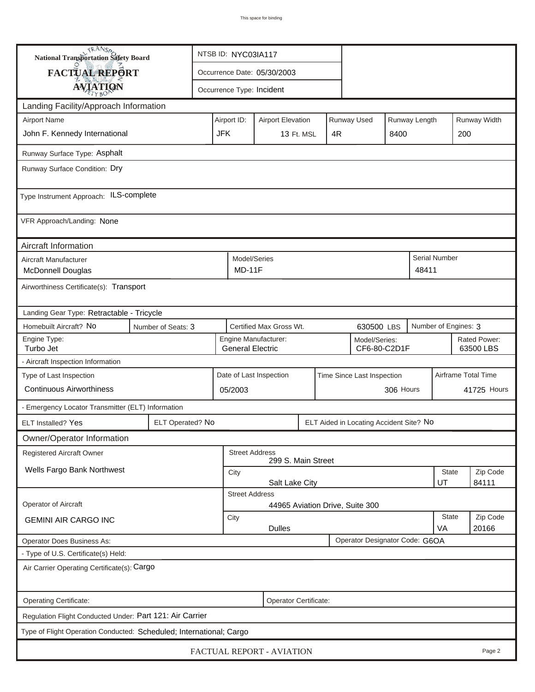| <b>National Transportation Safety Board</b>                                                                   |                               | NTSB ID: NYC03IA117                                                     |                          |                                                 |  |                   |                                         |           |                      |                     |                           |
|---------------------------------------------------------------------------------------------------------------|-------------------------------|-------------------------------------------------------------------------|--------------------------|-------------------------------------------------|--|-------------------|-----------------------------------------|-----------|----------------------|---------------------|---------------------------|
| <b>FACTUAL REPORT</b>                                                                                         |                               |                                                                         |                          | Occurrence Date: 05/30/2003                     |  |                   |                                         |           |                      |                     |                           |
| <b>AVIATION</b>                                                                                               |                               |                                                                         |                          | Occurrence Type: Incident                       |  |                   |                                         |           |                      |                     |                           |
| Landing Facility/Approach Information                                                                         |                               |                                                                         |                          |                                                 |  |                   |                                         |           |                      |                     |                           |
| <b>Airport Name</b>                                                                                           |                               | Airport ID:<br>Runway Used<br>Runway Length<br><b>Airport Elevation</b> |                          |                                                 |  |                   |                                         |           |                      |                     | Runway Width              |
| John F. Kennedy International                                                                                 |                               | <b>JFK</b>                                                              |                          | 13 Ft. MSL                                      |  | 4R                |                                         | 8400      |                      | 200                 |                           |
| Runway Surface Type: Asphalt                                                                                  |                               |                                                                         |                          |                                                 |  |                   |                                         |           |                      |                     |                           |
| Runway Surface Condition: Dry                                                                                 |                               |                                                                         |                          |                                                 |  |                   |                                         |           |                      |                     |                           |
| Type Instrument Approach: ILS-complete                                                                        |                               |                                                                         |                          |                                                 |  |                   |                                         |           |                      |                     |                           |
| VFR Approach/Landing: None                                                                                    |                               |                                                                         |                          |                                                 |  |                   |                                         |           |                      |                     |                           |
| Aircraft Information                                                                                          |                               |                                                                         |                          |                                                 |  |                   |                                         |           |                      |                     |                           |
| Aircraft Manufacturer<br><b>McDonnell Douglas</b>                                                             |                               |                                                                         | Model/Series<br>$MD-11F$ |                                                 |  |                   |                                         |           | 48411                | Serial Number       |                           |
| Airworthiness Certificate(s): Transport                                                                       |                               |                                                                         |                          |                                                 |  |                   |                                         |           |                      |                     |                           |
| Landing Gear Type: Retractable - Tricycle                                                                     |                               |                                                                         |                          |                                                 |  |                   |                                         |           |                      |                     |                           |
| Homebuilt Aircraft? No<br>Number of Seats: 3                                                                  |                               | Certified Max Gross Wt.<br>630500 LBS                                   |                          |                                                 |  |                   |                                         |           | Number of Engines: 3 |                     |                           |
| Engine Type:<br>Turbo Jet                                                                                     |                               |                                                                         |                          | Engine Manufacturer:<br><b>General Electric</b> |  |                   | Model/Series:<br>CF6-80-C2D1F           |           |                      |                     | Rated Power:<br>63500 LBS |
| - Aircraft Inspection Information                                                                             |                               |                                                                         |                          |                                                 |  |                   |                                         |           |                      |                     |                           |
| Type of Last Inspection                                                                                       |                               |                                                                         |                          | Date of Last Inspection                         |  |                   | Time Since Last Inspection              |           |                      | Airframe Total Time |                           |
| <b>Continuous Airworthiness</b>                                                                               |                               | 05/2003                                                                 |                          |                                                 |  |                   |                                         | 306 Hours |                      |                     | 41725 Hours               |
| - Emergency Locator Transmitter (ELT) Information                                                             |                               |                                                                         |                          |                                                 |  |                   |                                         |           |                      |                     |                           |
| <b>ELT Installed? Yes</b>                                                                                     | ELT Operated? No              |                                                                         |                          |                                                 |  |                   | ELT Aided in Locating Accident Site? No |           |                      |                     |                           |
| Owner/Operator Information                                                                                    |                               |                                                                         |                          |                                                 |  |                   |                                         |           |                      |                     |                           |
| <b>Registered Aircraft Owner</b>                                                                              |                               |                                                                         |                          | <b>Street Address</b><br>299 S. Main Street     |  |                   |                                         |           |                      |                     |                           |
| Wells Fargo Bank Northwest                                                                                    |                               | City                                                                    |                          |                                                 |  |                   |                                         |           |                      | State               | Zip Code                  |
|                                                                                                               | 84111<br>UT<br>Salt Lake City |                                                                         |                          |                                                 |  |                   |                                         |           |                      |                     |                           |
| <b>Operator of Aircraft</b>                                                                                   |                               |                                                                         | <b>Street Address</b>    |                                                 |  |                   |                                         |           |                      |                     |                           |
| 44965 Aviation Drive, Suite 300<br><b>State</b><br>City<br><b>GEMINI AIR CARGO INC</b><br><b>Dulles</b><br>VA |                               |                                                                         |                          |                                                 |  | Zip Code<br>20166 |                                         |           |                      |                     |                           |
| Operator Does Business As:                                                                                    |                               |                                                                         |                          |                                                 |  |                   | Operator Designator Code: G6OA          |           |                      |                     |                           |
| - Type of U.S. Certificate(s) Held:                                                                           |                               |                                                                         |                          |                                                 |  |                   |                                         |           |                      |                     |                           |
| Air Carrier Operating Certificate(s): Cargo                                                                   |                               |                                                                         |                          |                                                 |  |                   |                                         |           |                      |                     |                           |
| Operating Certificate:                                                                                        |                               |                                                                         |                          | Operator Certificate:                           |  |                   |                                         |           |                      |                     |                           |
| Regulation Flight Conducted Under: Part 121: Air Carrier                                                      |                               |                                                                         |                          |                                                 |  |                   |                                         |           |                      |                     |                           |
| Type of Flight Operation Conducted: Scheduled; International; Cargo                                           |                               |                                                                         |                          |                                                 |  |                   |                                         |           |                      |                     |                           |
|                                                                                                               |                               |                                                                         |                          | FACTUAL REPORT - AVIATION                       |  |                   |                                         |           |                      |                     | Page 2                    |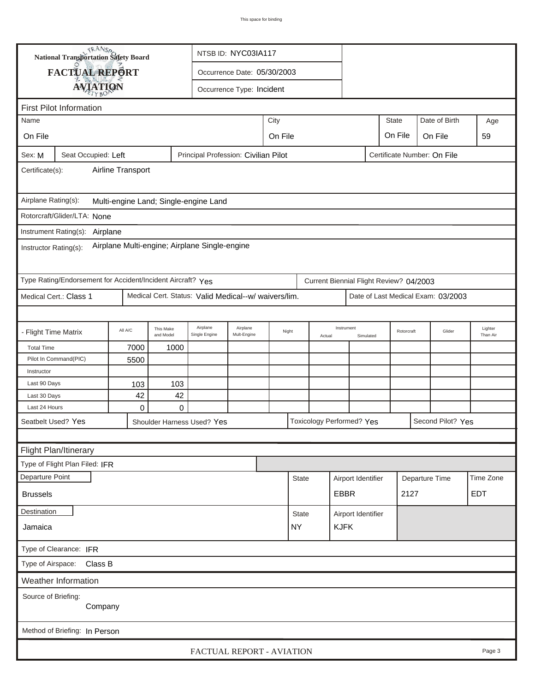|                                                                                                          | <b>National Transportation Safety Board</b>                                                                          |                   |                        |                                       | NTSB ID: NYC03IA117         |       |              |        |                                  |           |                             |                |                   |                     |
|----------------------------------------------------------------------------------------------------------|----------------------------------------------------------------------------------------------------------------------|-------------------|------------------------|---------------------------------------|-----------------------------|-------|--------------|--------|----------------------------------|-----------|-----------------------------|----------------|-------------------|---------------------|
|                                                                                                          | FACTUAL REPORT                                                                                                       |                   |                        |                                       | Occurrence Date: 05/30/2003 |       |              |        |                                  |           |                             |                |                   |                     |
|                                                                                                          | <b>AVIATION</b>                                                                                                      |                   |                        |                                       | Occurrence Type: Incident   |       |              |        |                                  |           |                             |                |                   |                     |
|                                                                                                          |                                                                                                                      |                   |                        |                                       |                             |       |              |        |                                  |           |                             |                |                   |                     |
| Name                                                                                                     | <b>First Pilot Information</b>                                                                                       |                   |                        |                                       |                             | City  |              |        |                                  |           | <b>State</b>                |                | Date of Birth     | Age                 |
|                                                                                                          |                                                                                                                      |                   |                        |                                       |                             |       |              |        |                                  |           | On File                     |                |                   |                     |
| On File                                                                                                  | On File<br>On File                                                                                                   |                   |                        |                                       |                             |       |              |        |                                  |           | 59                          |                |                   |                     |
| Sex: M                                                                                                   | Seat Occupied: Left                                                                                                  |                   |                        | Principal Profession: Civilian Pilot  |                             |       |              |        |                                  |           | Certificate Number: On File |                |                   |                     |
| Certificate(s):                                                                                          |                                                                                                                      | Airline Transport |                        |                                       |                             |       |              |        |                                  |           |                             |                |                   |                     |
| Airplane Rating(s):                                                                                      |                                                                                                                      |                   |                        | Multi-engine Land; Single-engine Land |                             |       |              |        |                                  |           |                             |                |                   |                     |
|                                                                                                          | Rotorcraft/Glider/LTA: None                                                                                          |                   |                        |                                       |                             |       |              |        |                                  |           |                             |                |                   |                     |
|                                                                                                          |                                                                                                                      |                   |                        |                                       |                             |       |              |        |                                  |           |                             |                |                   |                     |
| Instrument Rating(s): Airplane<br>Airplane Multi-engine; Airplane Single-engine<br>Instructor Rating(s): |                                                                                                                      |                   |                        |                                       |                             |       |              |        |                                  |           |                             |                |                   |                     |
|                                                                                                          | Type Rating/Endorsement for Accident/Incident Aircraft? Yes<br>Current Biennial Flight Review? 04/2003               |                   |                        |                                       |                             |       |              |        |                                  |           |                             |                |                   |                     |
|                                                                                                          | Medical Cert.: Class 1<br>Medical Cert. Status: Valid Medical--w/ waivers/lim.<br>Date of Last Medical Exam: 03/2003 |                   |                        |                                       |                             |       |              |        |                                  |           |                             |                |                   |                     |
|                                                                                                          |                                                                                                                      |                   |                        |                                       |                             |       |              |        |                                  |           |                             |                |                   |                     |
| - Flight Time Matrix                                                                                     |                                                                                                                      | All A/C           | This Make<br>and Model | Airplane<br>Single Engine             | Airplane<br>Mult-Engine     | Night |              | Actual | Instrument                       | Simulated | Rotorcraft                  |                | Glider            | Lighter<br>Than Air |
| <b>Total Time</b>                                                                                        |                                                                                                                      | 7000              | 1000                   |                                       |                             |       |              |        |                                  |           |                             |                |                   |                     |
|                                                                                                          | Pilot In Command(PIC)                                                                                                | 5500              |                        |                                       |                             |       |              |        |                                  |           |                             |                |                   |                     |
| Instructor                                                                                               |                                                                                                                      |                   |                        |                                       |                             |       |              |        |                                  |           |                             |                |                   |                     |
| Last 90 Days                                                                                             |                                                                                                                      | 103               | 103                    |                                       |                             |       |              |        |                                  |           |                             |                |                   |                     |
| Last 30 Days                                                                                             |                                                                                                                      | 42                | 42                     |                                       |                             |       |              |        |                                  |           |                             |                |                   |                     |
| Last 24 Hours                                                                                            |                                                                                                                      | 0                 | 0                      |                                       |                             |       |              |        |                                  |           |                             |                |                   |                     |
|                                                                                                          | Seatbelt Used? Yes                                                                                                   |                   |                        | Shoulder Harness Used? Yes            |                             |       |              |        | <b>Toxicology Performed? Yes</b> |           |                             |                | Second Pilot? Yes |                     |
|                                                                                                          |                                                                                                                      |                   |                        |                                       |                             |       |              |        |                                  |           |                             |                |                   |                     |
|                                                                                                          | Flight Plan/Itinerary                                                                                                |                   |                        |                                       |                             |       |              |        |                                  |           |                             |                |                   |                     |
|                                                                                                          | Type of Flight Plan Filed: IFR                                                                                       |                   |                        |                                       |                             |       |              |        |                                  |           |                             |                |                   |                     |
| Departure Point                                                                                          |                                                                                                                      |                   |                        |                                       |                             |       | <b>State</b> |        | Airport Identifier               |           |                             | Departure Time |                   | Time Zone           |
| <b>Brussels</b>                                                                                          | <b>EDT</b><br><b>EBBR</b><br>2127                                                                                    |                   |                        |                                       |                             |       |              |        |                                  |           |                             |                |                   |                     |
| Destination                                                                                              |                                                                                                                      |                   |                        |                                       |                             |       | <b>State</b> |        | Airport Identifier               |           |                             |                |                   |                     |
| Jamaica                                                                                                  |                                                                                                                      |                   |                        |                                       |                             |       | <b>NY</b>    |        | <b>KJFK</b>                      |           |                             |                |                   |                     |
|                                                                                                          | Type of Clearance: IFR                                                                                               |                   |                        |                                       |                             |       |              |        |                                  |           |                             |                |                   |                     |
| Type of Airspace:                                                                                        | Class B                                                                                                              |                   |                        |                                       |                             |       |              |        |                                  |           |                             |                |                   |                     |
|                                                                                                          | <b>Weather Information</b>                                                                                           |                   |                        |                                       |                             |       |              |        |                                  |           |                             |                |                   |                     |
| Source of Briefing:                                                                                      | Company                                                                                                              |                   |                        |                                       |                             |       |              |        |                                  |           |                             |                |                   |                     |
|                                                                                                          | Method of Briefing: In Person                                                                                        |                   |                        |                                       |                             |       |              |        |                                  |           |                             |                |                   |                     |
|                                                                                                          |                                                                                                                      |                   |                        | FACTUAL REPORT - AVIATION             |                             |       |              |        |                                  |           |                             |                |                   | Page 3              |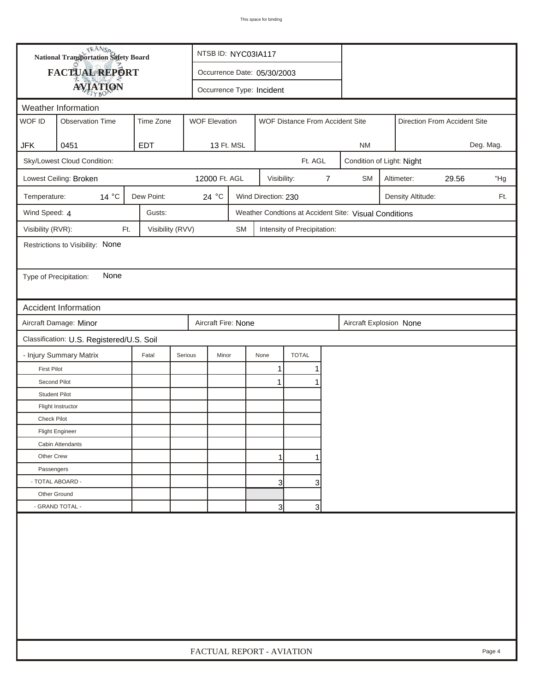| FACTUAL REPORT<br>Occurrence Date: 05/30/2003<br><b>AVIATION</b><br>Occurrence Type: Incident<br>Weather Information<br>WOF ID<br>Time Zone<br><b>Observation Time</b><br><b>WOF Elevation</b><br>WOF Distance From Accident Site<br>Direction From Accident Site<br>0451<br><b>EDT</b><br>Deg. Mag.<br><b>JFK</b><br>13 Ft. MSL<br><b>NM</b><br>Sky/Lowest Cloud Condition:<br>Ft. AGL<br>Condition of Light: Night<br>12000 Ft. AGL<br>$\overline{7}$<br>29.56<br>Lowest Ceiling: Broken<br>Visibility:<br><b>SM</b><br>Altimeter:<br>$14^{\circ}$ C<br>Dew Point:<br>24 $^{\circ}$ C<br>Wind Direction: 230<br>Temperature:<br>Density Altitude:<br>Weather Condtions at Accident Site: Visual Conditions<br>Wind Speed: 4<br>Gusts:<br>Visibility (RVR):<br>Ft.<br>Visibility (RVV)<br>SM<br>Intensity of Precipitation:<br>Restrictions to Visibility: None<br>None<br>Type of Precipitation:<br>Accident Information<br>Aircraft Damage: Minor<br>Aircraft Fire: None<br>Aircraft Explosion None<br>Classification: U.S. Registered/U.S. Soil<br>- Injury Summary Matrix<br><b>TOTAL</b><br>Fatal<br>Serious<br>Minor<br>None<br><b>First Pilot</b><br>1<br>Second Pilot<br>1<br><b>Student Pilot</b><br>Flight Instructor<br>Check Pilot<br><b>Flight Engineer</b><br>Cabin Attendants<br>Other Crew<br>1<br>Passengers<br>- TOTAL ABOARD -<br>$\overline{3}$<br>3 | <b>National Transportation Safety Board</b> | NTSB ID: NYC03IA117       |  |  |  |  |  |  |        |
|---------------------------------------------------------------------------------------------------------------------------------------------------------------------------------------------------------------------------------------------------------------------------------------------------------------------------------------------------------------------------------------------------------------------------------------------------------------------------------------------------------------------------------------------------------------------------------------------------------------------------------------------------------------------------------------------------------------------------------------------------------------------------------------------------------------------------------------------------------------------------------------------------------------------------------------------------------------------------------------------------------------------------------------------------------------------------------------------------------------------------------------------------------------------------------------------------------------------------------------------------------------------------------------------------------------------------------------------------------------------------|---------------------------------------------|---------------------------|--|--|--|--|--|--|--------|
|                                                                                                                                                                                                                                                                                                                                                                                                                                                                                                                                                                                                                                                                                                                                                                                                                                                                                                                                                                                                                                                                                                                                                                                                                                                                                                                                                                           |                                             |                           |  |  |  |  |  |  |        |
|                                                                                                                                                                                                                                                                                                                                                                                                                                                                                                                                                                                                                                                                                                                                                                                                                                                                                                                                                                                                                                                                                                                                                                                                                                                                                                                                                                           |                                             |                           |  |  |  |  |  |  |        |
|                                                                                                                                                                                                                                                                                                                                                                                                                                                                                                                                                                                                                                                                                                                                                                                                                                                                                                                                                                                                                                                                                                                                                                                                                                                                                                                                                                           |                                             |                           |  |  |  |  |  |  |        |
|                                                                                                                                                                                                                                                                                                                                                                                                                                                                                                                                                                                                                                                                                                                                                                                                                                                                                                                                                                                                                                                                                                                                                                                                                                                                                                                                                                           |                                             |                           |  |  |  |  |  |  |        |
|                                                                                                                                                                                                                                                                                                                                                                                                                                                                                                                                                                                                                                                                                                                                                                                                                                                                                                                                                                                                                                                                                                                                                                                                                                                                                                                                                                           |                                             |                           |  |  |  |  |  |  |        |
|                                                                                                                                                                                                                                                                                                                                                                                                                                                                                                                                                                                                                                                                                                                                                                                                                                                                                                                                                                                                                                                                                                                                                                                                                                                                                                                                                                           |                                             |                           |  |  |  |  |  |  |        |
|                                                                                                                                                                                                                                                                                                                                                                                                                                                                                                                                                                                                                                                                                                                                                                                                                                                                                                                                                                                                                                                                                                                                                                                                                                                                                                                                                                           |                                             |                           |  |  |  |  |  |  |        |
|                                                                                                                                                                                                                                                                                                                                                                                                                                                                                                                                                                                                                                                                                                                                                                                                                                                                                                                                                                                                                                                                                                                                                                                                                                                                                                                                                                           |                                             |                           |  |  |  |  |  |  | "Hg    |
|                                                                                                                                                                                                                                                                                                                                                                                                                                                                                                                                                                                                                                                                                                                                                                                                                                                                                                                                                                                                                                                                                                                                                                                                                                                                                                                                                                           |                                             |                           |  |  |  |  |  |  | Ft.    |
|                                                                                                                                                                                                                                                                                                                                                                                                                                                                                                                                                                                                                                                                                                                                                                                                                                                                                                                                                                                                                                                                                                                                                                                                                                                                                                                                                                           |                                             |                           |  |  |  |  |  |  |        |
|                                                                                                                                                                                                                                                                                                                                                                                                                                                                                                                                                                                                                                                                                                                                                                                                                                                                                                                                                                                                                                                                                                                                                                                                                                                                                                                                                                           |                                             |                           |  |  |  |  |  |  |        |
|                                                                                                                                                                                                                                                                                                                                                                                                                                                                                                                                                                                                                                                                                                                                                                                                                                                                                                                                                                                                                                                                                                                                                                                                                                                                                                                                                                           |                                             |                           |  |  |  |  |  |  |        |
|                                                                                                                                                                                                                                                                                                                                                                                                                                                                                                                                                                                                                                                                                                                                                                                                                                                                                                                                                                                                                                                                                                                                                                                                                                                                                                                                                                           |                                             |                           |  |  |  |  |  |  |        |
|                                                                                                                                                                                                                                                                                                                                                                                                                                                                                                                                                                                                                                                                                                                                                                                                                                                                                                                                                                                                                                                                                                                                                                                                                                                                                                                                                                           |                                             |                           |  |  |  |  |  |  |        |
|                                                                                                                                                                                                                                                                                                                                                                                                                                                                                                                                                                                                                                                                                                                                                                                                                                                                                                                                                                                                                                                                                                                                                                                                                                                                                                                                                                           |                                             |                           |  |  |  |  |  |  |        |
|                                                                                                                                                                                                                                                                                                                                                                                                                                                                                                                                                                                                                                                                                                                                                                                                                                                                                                                                                                                                                                                                                                                                                                                                                                                                                                                                                                           |                                             |                           |  |  |  |  |  |  |        |
|                                                                                                                                                                                                                                                                                                                                                                                                                                                                                                                                                                                                                                                                                                                                                                                                                                                                                                                                                                                                                                                                                                                                                                                                                                                                                                                                                                           |                                             |                           |  |  |  |  |  |  |        |
|                                                                                                                                                                                                                                                                                                                                                                                                                                                                                                                                                                                                                                                                                                                                                                                                                                                                                                                                                                                                                                                                                                                                                                                                                                                                                                                                                                           |                                             |                           |  |  |  |  |  |  |        |
|                                                                                                                                                                                                                                                                                                                                                                                                                                                                                                                                                                                                                                                                                                                                                                                                                                                                                                                                                                                                                                                                                                                                                                                                                                                                                                                                                                           |                                             |                           |  |  |  |  |  |  |        |
|                                                                                                                                                                                                                                                                                                                                                                                                                                                                                                                                                                                                                                                                                                                                                                                                                                                                                                                                                                                                                                                                                                                                                                                                                                                                                                                                                                           |                                             |                           |  |  |  |  |  |  |        |
|                                                                                                                                                                                                                                                                                                                                                                                                                                                                                                                                                                                                                                                                                                                                                                                                                                                                                                                                                                                                                                                                                                                                                                                                                                                                                                                                                                           |                                             |                           |  |  |  |  |  |  |        |
|                                                                                                                                                                                                                                                                                                                                                                                                                                                                                                                                                                                                                                                                                                                                                                                                                                                                                                                                                                                                                                                                                                                                                                                                                                                                                                                                                                           |                                             |                           |  |  |  |  |  |  |        |
|                                                                                                                                                                                                                                                                                                                                                                                                                                                                                                                                                                                                                                                                                                                                                                                                                                                                                                                                                                                                                                                                                                                                                                                                                                                                                                                                                                           |                                             |                           |  |  |  |  |  |  |        |
|                                                                                                                                                                                                                                                                                                                                                                                                                                                                                                                                                                                                                                                                                                                                                                                                                                                                                                                                                                                                                                                                                                                                                                                                                                                                                                                                                                           |                                             |                           |  |  |  |  |  |  |        |
|                                                                                                                                                                                                                                                                                                                                                                                                                                                                                                                                                                                                                                                                                                                                                                                                                                                                                                                                                                                                                                                                                                                                                                                                                                                                                                                                                                           |                                             |                           |  |  |  |  |  |  |        |
|                                                                                                                                                                                                                                                                                                                                                                                                                                                                                                                                                                                                                                                                                                                                                                                                                                                                                                                                                                                                                                                                                                                                                                                                                                                                                                                                                                           |                                             |                           |  |  |  |  |  |  |        |
|                                                                                                                                                                                                                                                                                                                                                                                                                                                                                                                                                                                                                                                                                                                                                                                                                                                                                                                                                                                                                                                                                                                                                                                                                                                                                                                                                                           |                                             |                           |  |  |  |  |  |  |        |
| Other Ground<br>- GRAND TOTAL -<br>3<br>3                                                                                                                                                                                                                                                                                                                                                                                                                                                                                                                                                                                                                                                                                                                                                                                                                                                                                                                                                                                                                                                                                                                                                                                                                                                                                                                                 |                                             |                           |  |  |  |  |  |  |        |
|                                                                                                                                                                                                                                                                                                                                                                                                                                                                                                                                                                                                                                                                                                                                                                                                                                                                                                                                                                                                                                                                                                                                                                                                                                                                                                                                                                           |                                             | FACTUAL REPORT - AVIATION |  |  |  |  |  |  | Page 4 |